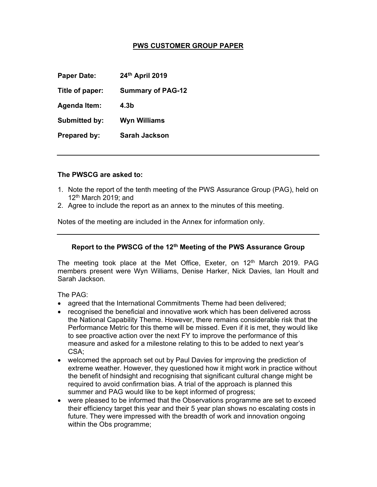# PWS CUSTOMER GROUP PAPER

Paper Date: 24th April 2019

Title of paper: Summary of PAG-12

Agenda Item: 4.3b

Submitted by: Wyn Williams

Prepared by: Sarah Jackson

#### The PWSCG are asked to:

- 1. Note the report of the tenth meeting of the PWS Assurance Group (PAG), held on  $12<sup>th</sup>$  March 2019; and
- 2. Agree to include the report as an annex to the minutes of this meeting.

Notes of the meeting are included in the Annex for information only.

## Report to the PWSCG of the 12<sup>th</sup> Meeting of the PWS Assurance Group

The meeting took place at the Met Office, Exeter, on 12<sup>th</sup> March 2019. PAG members present were Wyn Williams, Denise Harker, Nick Davies, Ian Hoult and Sarah Jackson.

The PAG:

- agreed that the International Commitments Theme had been delivered;
- recognised the beneficial and innovative work which has been delivered across the National Capability Theme. However, there remains considerable risk that the Performance Metric for this theme will be missed. Even if it is met, they would like to see proactive action over the next FY to improve the performance of this measure and asked for a milestone relating to this to be added to next year's CSA;
- welcomed the approach set out by Paul Davies for improving the prediction of extreme weather. However, they questioned how it might work in practice without the benefit of hindsight and recognising that significant cultural change might be required to avoid confirmation bias. A trial of the approach is planned this summer and PAG would like to be kept informed of progress;
- were pleased to be informed that the Observations programme are set to exceed their efficiency target this year and their 5 year plan shows no escalating costs in future. They were impressed with the breadth of work and innovation ongoing within the Obs programme;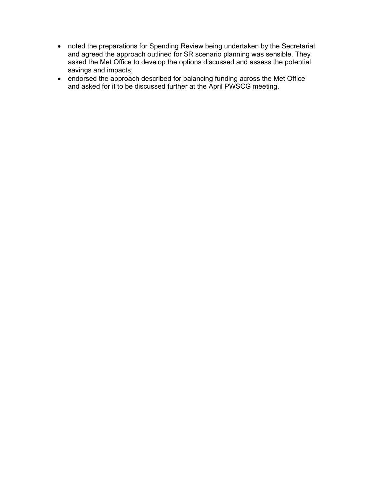- noted the preparations for Spending Review being undertaken by the Secretariat and agreed the approach outlined for SR scenario planning was sensible. They asked the Met Office to develop the options discussed and assess the potential savings and impacts;
- endorsed the approach described for balancing funding across the Met Office and asked for it to be discussed further at the April PWSCG meeting.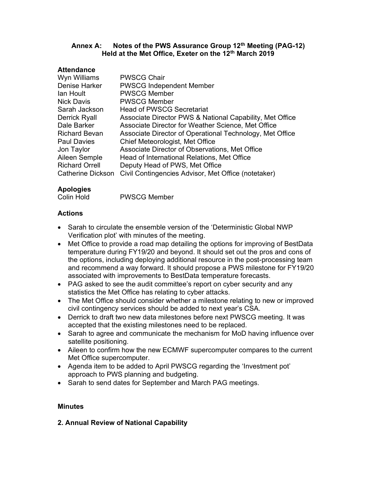# Annex A: Notes of the PWS Assurance Group 12<sup>th</sup> Meeting (PAG-12) Held at the Met Office, Exeter on the 12<sup>th</sup> March 2019

## **Attendance**

| Wyn Williams          | <b>PWSCG Chair</b>                                       |
|-----------------------|----------------------------------------------------------|
| Denise Harker         | <b>PWSCG Independent Member</b>                          |
| lan Hoult             | <b>PWSCG Member</b>                                      |
| <b>Nick Davis</b>     | <b>PWSCG Member</b>                                      |
| Sarah Jackson         | <b>Head of PWSCG Secretariat</b>                         |
| <b>Derrick Ryall</b>  | Associate Director PWS & National Capability, Met Office |
| Dale Barker           | Associate Director for Weather Science, Met Office       |
| <b>Richard Bevan</b>  | Associate Director of Operational Technology, Met Office |
| <b>Paul Davies</b>    | Chief Meteorologist, Met Office                          |
| Jon Taylor            | Associate Director of Observations, Met Office           |
| Aileen Semple         | Head of International Relations, Met Office              |
| <b>Richard Orrell</b> | Deputy Head of PWS, Met Office                           |
| Catherine Dickson     | Civil Contingencies Advisor, Met Office (notetaker)      |

# Apologies

Colin Hold PWSCG Member

# Actions

- Sarah to circulate the ensemble version of the 'Deterministic Global NWP Verification plot' with minutes of the meeting.
- Met Office to provide a road map detailing the options for improving of BestData temperature during FY19/20 and beyond. It should set out the pros and cons of the options, including deploying additional resource in the post-processing team and recommend a way forward. It should propose a PWS milestone for FY19/20 associated with improvements to BestData temperature forecasts.
- PAG asked to see the audit committee's report on cyber security and any statistics the Met Office has relating to cyber attacks.
- The Met Office should consider whether a milestone relating to new or improved civil contingency services should be added to next year's CSA.
- Derrick to draft two new data milestones before next PWSCG meeting. It was accepted that the existing milestones need to be replaced.
- Sarah to agree and communicate the mechanism for MoD having influence over satellite positioning.
- Aileen to confirm how the new ECMWF supercomputer compares to the current Met Office supercomputer.
- Agenda item to be added to April PWSCG regarding the 'Investment pot' approach to PWS planning and budgeting.
- Sarah to send dates for September and March PAG meetings.

# **Minutes**

# 2. Annual Review of National Capability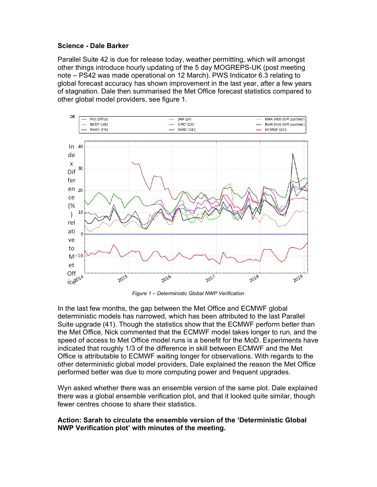## Science - Dale Barker

Parallel Suite 42 is due for release today, weather permitting, which will amongst other things introduce hourly updating of the 5 day MOGREPS-UK (post meeting note – PS42 was made operational on 12 March). PWS Indicator 6.3 relating to global forecast accuracy has shown improvement in the last year, after a few years of stagnation. Dale then summarised the Met Office forecast statistics compared to other global model providers, see figure 1.



Figure 1 – Deterministic Global NWP Verification

In the last few months, the gap between the Met Office and ECMWF global deterministic models has narrowed, which has been attributed to the last Parallel Suite upgrade (41). Though the statistics show that the ECMWF perform better than the Met Office, Nick commented that the ECMWF model takes longer to run, and the speed of access to Met Office model runs is a benefit for the MoD. Experiments have indicated that roughly 1/3 of the difference in skill between ECMWF and the Met Office is attributable to ECMWF waiting longer for observations. With regards to the other deterministic global model providers, Dale explained the reason the Met Office performed better was due to more computing power and frequent upgrades.

Wyn asked whether there was an ensemble version of the same plot. Dale explained there was a global ensemble verification plot, and that it looked quite similar, though fewer centres choose to share their statistics.

#### Action: Sarah to circulate the ensemble version of the 'Deterministic Global NWP Verification plot' with minutes of the meeting.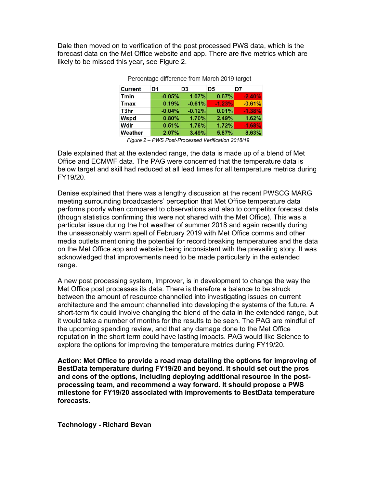Dale then moved on to verification of the post processed PWS data, which is the forecast data on the Met Office website and app. There are five metrics which are likely to be missed this year, see Figure 2.

| <b>Current</b> | D1       | D <sub>3</sub> | D5       | D7       |
|----------------|----------|----------------|----------|----------|
| <b>Tmin</b>    | $-0.05%$ | 1.07%          | 0.67%    | $-2.40%$ |
| <b>Tmax</b>    | 0.19%    | $-0.61%$       | $-1.23%$ | $-0.61%$ |
| T3hr           | $-0.04%$ | $-0.12%$       | 0.01%    | $-1.38%$ |
| Wspd           | 0.80%    | 1.70%          | 2.49%    | 1.62%    |
| <b>Wdir</b>    | 0.51%    | 1.78%          | 1.72%    | $-1.68%$ |
| Weather        | 2.07%    | 3.49%          | 5.87%    | 8.63%    |

| Percentage difference from March 2019 target |  |  |  |
|----------------------------------------------|--|--|--|

Dale explained that at the extended range, the data is made up of a blend of Met Office and ECMWF data. The PAG were concerned that the temperature data is below target and skill had reduced at all lead times for all temperature metrics during FY19/20.

Denise explained that there was a lengthy discussion at the recent PWSCG MARG meeting surrounding broadcasters' perception that Met Office temperature data performs poorly when compared to observations and also to competitor forecast data (though statistics confirming this were not shared with the Met Office). This was a particular issue during the hot weather of summer 2018 and again recently during the unseasonably warm spell of February 2019 with Met Office comms and other media outlets mentioning the potential for record breaking temperatures and the data on the Met Office app and website being inconsistent with the prevailing story. It was acknowledged that improvements need to be made particularly in the extended range.

A new post processing system, Improver, is in development to change the way the Met Office post processes its data. There is therefore a balance to be struck between the amount of resource channelled into investigating issues on current architecture and the amount channelled into developing the systems of the future. A short-term fix could involve changing the blend of the data in the extended range, but it would take a number of months for the results to be seen. The PAG are mindful of the upcoming spending review, and that any damage done to the Met Office reputation in the short term could have lasting impacts. PAG would like Science to explore the options for improving the temperature metrics during FY19/20.

Action: Met Office to provide a road map detailing the options for improving of BestData temperature during FY19/20 and beyond. It should set out the pros and cons of the options, including deploying additional resource in the postprocessing team, and recommend a way forward. It should propose a PWS milestone for FY19/20 associated with improvements to BestData temperature forecasts.

Technology - Richard Bevan

Figure 2 – PWS Post-Processed Verification 2018/19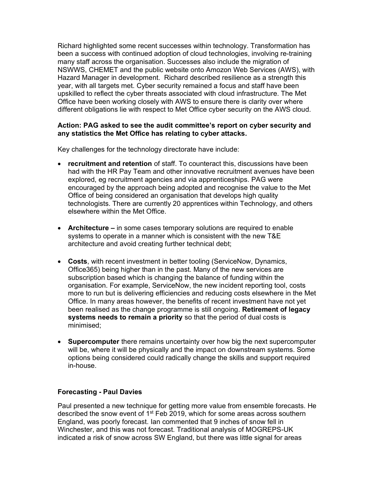Richard highlighted some recent successes within technology. Transformation has been a success with continued adoption of cloud technologies, involving re-training many staff across the organisation. Successes also include the migration of NSWWS, CHEMET and the public website onto Amozon Web Services (AWS), with Hazard Manager in development. Richard described resilience as a strength this year, with all targets met. Cyber security remained a focus and staff have been upskilled to reflect the cyber threats associated with cloud infrastructure. The Met Office have been working closely with AWS to ensure there is clarity over where different obligations lie with respect to Met Office cyber security on the AWS cloud.

## Action: PAG asked to see the audit committee's report on cyber security and any statistics the Met Office has relating to cyber attacks.

Key challenges for the technology directorate have include:

- recruitment and retention of staff. To counteract this, discussions have been had with the HR Pay Team and other innovative recruitment avenues have been explored, eg recruitment agencies and via apprenticeships. PAG were encouraged by the approach being adopted and recognise the value to the Met Office of being considered an organisation that develops high quality technologists. There are currently 20 apprentices within Technology, and others elsewhere within the Met Office.
- Architecture in some cases temporary solutions are required to enable systems to operate in a manner which is consistent with the new T&E architecture and avoid creating further technical debt;
- Costs, with recent investment in better tooling (ServiceNow, Dynamics, Office365) being higher than in the past. Many of the new services are subscription based which is changing the balance of funding within the organisation. For example, ServiceNow, the new incident reporting tool, costs more to run but is delivering efficiencies and reducing costs elsewhere in the Met Office. In many areas however, the benefits of recent investment have not yet been realised as the change programme is still ongoing. Retirement of legacy systems needs to remain a priority so that the period of dual costs is minimised;
- Supercomputer there remains uncertainty over how big the next supercomputer will be, where it will be physically and the impact on downstream systems. Some options being considered could radically change the skills and support required in-house.

## Forecasting - Paul Davies

Paul presented a new technique for getting more value from ensemble forecasts. He described the snow event of 1<sup>st</sup> Feb 2019, which for some areas across southern England, was poorly forecast. Ian commented that 9 inches of snow fell in Winchester, and this was not forecast. Traditional analysis of MOGREPS-UK indicated a risk of snow across SW England, but there was little signal for areas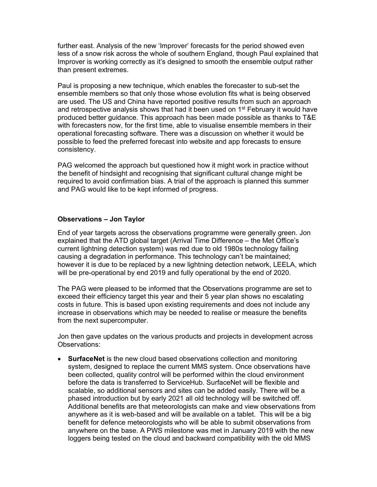further east. Analysis of the new 'Improver' forecasts for the period showed even less of a snow risk across the whole of southern England, though Paul explained that Improver is working correctly as it's designed to smooth the ensemble output rather than present extremes.

Paul is proposing a new technique, which enables the forecaster to sub-set the ensemble members so that only those whose evolution fits what is being observed are used. The US and China have reported positive results from such an approach and retrospective analysis shows that had it been used on  $1<sup>st</sup>$  February it would have produced better guidance. This approach has been made possible as thanks to T&E with forecasters now, for the first time, able to visualise ensemble members in their operational forecasting software. There was a discussion on whether it would be possible to feed the preferred forecast into website and app forecasts to ensure consistency.

PAG welcomed the approach but questioned how it might work in practice without the benefit of hindsight and recognising that significant cultural change might be required to avoid confirmation bias. A trial of the approach is planned this summer and PAG would like to be kept informed of progress.

#### Observations – Jon Taylor

End of year targets across the observations programme were generally green. Jon explained that the ATD global target (Arrival Time Difference – the Met Office's current lightning detection system) was red due to old 1980s technology failing causing a degradation in performance. This technology can't be maintained; however it is due to be replaced by a new lightning detection network, LEELA, which will be pre-operational by end 2019 and fully operational by the end of 2020.

The PAG were pleased to be informed that the Observations programme are set to exceed their efficiency target this year and their 5 year plan shows no escalating costs in future. This is based upon existing requirements and does not include any increase in observations which may be needed to realise or measure the benefits from the next supercomputer.

Jon then gave updates on the various products and projects in development across Observations:

• SurfaceNet is the new cloud based observations collection and monitoring system, designed to replace the current MMS system. Once observations have been collected, quality control will be performed within the cloud environment before the data is transferred to ServiceHub. SurfaceNet will be flexible and scalable, so additional sensors and sites can be added easily. There will be a phased introduction but by early 2021 all old technology will be switched off. Additional benefits are that meteorologists can make and view observations from anywhere as it is web-based and will be available on a tablet. This will be a big benefit for defence meteorologists who will be able to submit observations from anywhere on the base. A PWS milestone was met in January 2019 with the new loggers being tested on the cloud and backward compatibility with the old MMS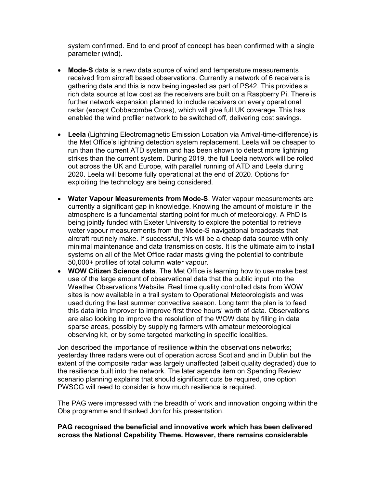system confirmed. End to end proof of concept has been confirmed with a single parameter (wind).

- Mode-S data is a new data source of wind and temperature measurements received from aircraft based observations. Currently a network of 6 receivers is gathering data and this is now being ingested as part of PS42. This provides a rich data source at low cost as the receivers are built on a Raspberry Pi. There is further network expansion planned to include receivers on every operational radar (except Cobbacombe Cross), which will give full UK coverage. This has enabled the wind profiler network to be switched off, delivering cost savings.
- Leela (Lightning Electromagnetic Emission Location via Arrival-time-difference) is the Met Office's lightning detection system replacement. Leela will be cheaper to run than the current ATD system and has been shown to detect more lightning strikes than the current system. During 2019, the full Leela network will be rolled out across the UK and Europe, with parallel running of ATD and Leela during 2020. Leela will become fully operational at the end of 2020. Options for exploiting the technology are being considered.
- Water Vapour Measurements from Mode-S. Water vapour measurements are currently a significant gap in knowledge. Knowing the amount of moisture in the atmosphere is a fundamental starting point for much of meteorology. A PhD is being jointly funded with Exeter University to explore the potential to retrieve water vapour measurements from the Mode-S navigational broadcasts that aircraft routinely make. If successful, this will be a cheap data source with only minimal maintenance and data transmission costs. It is the ultimate aim to install systems on all of the Met Office radar masts giving the potential to contribute 50,000+ profiles of total column water vapour.
- WOW Citizen Science data. The Met Office is learning how to use make best use of the large amount of observational data that the public input into the Weather Observations Website. Real time quality controlled data from WOW sites is now available in a trail system to Operational Meteorologists and was used during the last summer convective season. Long term the plan is to feed this data into Improver to improve first three hours' worth of data. Observations are also looking to improve the resolution of the WOW data by filling in data sparse areas, possibly by supplying farmers with amateur meteorological observing kit, or by some targeted marketing in specific localities.

Jon described the importance of resilience within the observations networks; yesterday three radars were out of operation across Scotland and in Dublin but the extent of the composite radar was largely unaffected (albeit quality degraded) due to the resilience built into the network. The later agenda item on Spending Review scenario planning explains that should significant cuts be required, one option PWSCG will need to consider is how much resilience is required.

The PAG were impressed with the breadth of work and innovation ongoing within the Obs programme and thanked Jon for his presentation.

## PAG recognised the beneficial and innovative work which has been delivered across the National Capability Theme. However, there remains considerable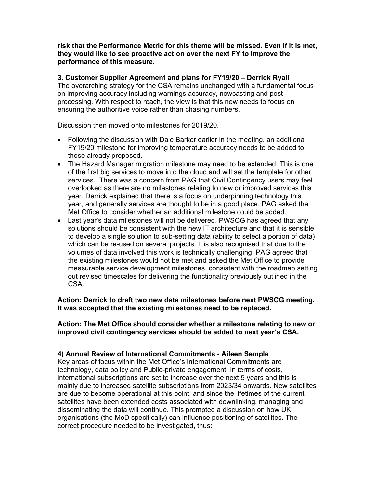risk that the Performance Metric for this theme will be missed. Even if it is met, they would like to see proactive action over the next FY to improve the performance of this measure.

### 3. Customer Supplier Agreement and plans for FY19/20 – Derrick Ryall

The overarching strategy for the CSA remains unchanged with a fundamental focus on improving accuracy including warnings accuracy, nowcasting and post processing. With respect to reach, the view is that this now needs to focus on ensuring the authoritive voice rather than chasing numbers.

Discussion then moved onto milestones for 2019/20.

- Following the discussion with Dale Barker earlier in the meeting, an additional FY19/20 milestone for improving temperature accuracy needs to be added to those already proposed.
- The Hazard Manager migration milestone may need to be extended. This is one of the first big services to move into the cloud and will set the template for other services. There was a concern from PAG that Civil Contingency users may feel overlooked as there are no milestones relating to new or improved services this year. Derrick explained that there is a focus on underpinning technology this year, and generally services are thought to be in a good place. PAG asked the Met Office to consider whether an additional milestone could be added.
- Last year's data milestones will not be delivered. PWSCG has agreed that any solutions should be consistent with the new IT architecture and that it is sensible to develop a single solution to sub-setting data (ability to select a portion of data) which can be re-used on several projects. It is also recognised that due to the volumes of data involved this work is technically challenging. PAG agreed that the existing milestones would not be met and asked the Met Office to provide measurable service development milestones, consistent with the roadmap setting out revised timescales for delivering the functionality previously outlined in the CSA.

## Action: Derrick to draft two new data milestones before next PWSCG meeting. It was accepted that the existing milestones need to be replaced.

Action: The Met Office should consider whether a milestone relating to new or improved civil contingency services should be added to next year's CSA.

## 4) Annual Review of International Commitments - Aileen Semple

Key areas of focus within the Met Office's International Commitments are technology, data policy and Public-private engagement. In terms of costs, international subscriptions are set to increase over the next 5 years and this is mainly due to increased satellite subscriptions from 2023/34 onwards. New satellites are due to become operational at this point, and since the lifetimes of the current satellites have been extended costs associated with downlinking, managing and disseminating the data will continue. This prompted a discussion on how UK organisations (the MoD specifically) can influence positioning of satellites. The correct procedure needed to be investigated, thus: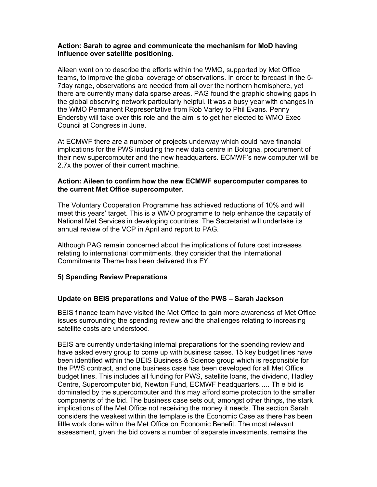## Action: Sarah to agree and communicate the mechanism for MoD having influence over satellite positioning.

Aileen went on to describe the efforts within the WMO, supported by Met Office teams, to improve the global coverage of observations. In order to forecast in the 5- 7day range, observations are needed from all over the northern hemisphere, yet there are currently many data sparse areas. PAG found the graphic showing gaps in the global observing network particularly helpful. It was a busy year with changes in the WMO Permanent Representative from Rob Varley to Phil Evans. Penny Endersby will take over this role and the aim is to get her elected to WMO Exec Council at Congress in June.

At ECMWF there are a number of projects underway which could have financial implications for the PWS including the new data centre in Bologna, procurement of their new supercomputer and the new headquarters. ECMWF's new computer will be 2.7x the power of their current machine.

### Action: Aileen to confirm how the new ECMWF supercomputer compares to the current Met Office supercomputer.

The Voluntary Cooperation Programme has achieved reductions of 10% and will meet this years' target. This is a WMO programme to help enhance the capacity of National Met Services in developing countries. The Secretariat will undertake its annual review of the VCP in April and report to PAG.

Although PAG remain concerned about the implications of future cost increases relating to international commitments, they consider that the International Commitments Theme has been delivered this FY.

## 5) Spending Review Preparations

## Update on BEIS preparations and Value of the PWS – Sarah Jackson

BEIS finance team have visited the Met Office to gain more awareness of Met Office issues surrounding the spending review and the challenges relating to increasing satellite costs are understood.

BEIS are currently undertaking internal preparations for the spending review and have asked every group to come up with business cases. 15 key budget lines have been identified within the BEIS Business & Science group which is responsible for the PWS contract, and one business case has been developed for all Met Office budget lines. This includes all funding for PWS, satellite loans, the dividend, Hadley Centre, Supercomputer bid, Newton Fund, ECMWF headquarters….. Th e bid is dominated by the supercomputer and this may afford some protection to the smaller components of the bid. The business case sets out, amongst other things, the stark implications of the Met Office not receiving the money it needs. The section Sarah considers the weakest within the template is the Economic Case as there has been little work done within the Met Office on Economic Benefit. The most relevant assessment, given the bid covers a number of separate investments, remains the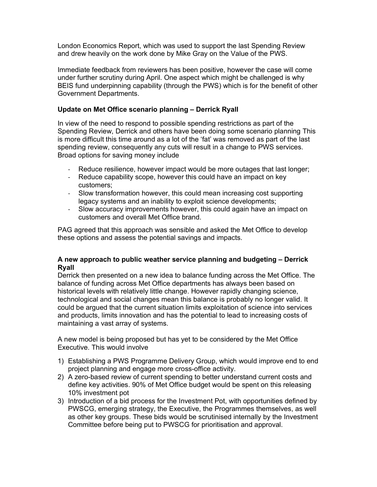London Economics Report, which was used to support the last Spending Review and drew heavily on the work done by Mike Gray on the Value of the PWS.

Immediate feedback from reviewers has been positive, however the case will come under further scrutiny during April. One aspect which might be challenged is why BEIS fund underpinning capability (through the PWS) which is for the benefit of other Government Departments.

# Update on Met Office scenario planning – Derrick Ryall

In view of the need to respond to possible spending restrictions as part of the Spending Review, Derrick and others have been doing some scenario planning This is more difficult this time around as a lot of the 'fat' was removed as part of the last spending review, consequently any cuts will result in a change to PWS services. Broad options for saving money include

- Reduce resilience, however impact would be more outages that last longer;
- Reduce capability scope, however this could have an impact on key customers;
- Slow transformation however, this could mean increasing cost supporting legacy systems and an inability to exploit science developments;
- Slow accuracy improvements however, this could again have an impact on customers and overall Met Office brand.

PAG agreed that this approach was sensible and asked the Met Office to develop these options and assess the potential savings and impacts.

# A new approach to public weather service planning and budgeting – Derrick Ryall

Derrick then presented on a new idea to balance funding across the Met Office. The balance of funding across Met Office departments has always been based on historical levels with relatively little change. However rapidly changing science, technological and social changes mean this balance is probably no longer valid. It could be argued that the current situation limits exploitation of science into services and products, limits innovation and has the potential to lead to increasing costs of maintaining a vast array of systems.

A new model is being proposed but has yet to be considered by the Met Office Executive. This would involve

- 1) Establishing a PWS Programme Delivery Group, which would improve end to end project planning and engage more cross-office activity.
- 2) A zero-based review of current spending to better understand current costs and define key activities. 90% of Met Office budget would be spent on this releasing 10% investment pot
- 3) Introduction of a bid process for the Investment Pot, with opportunities defined by PWSCG, emerging strategy, the Executive, the Programmes themselves, as well as other key groups. These bids would be scrutinised internally by the Investment Committee before being put to PWSCG for prioritisation and approval.